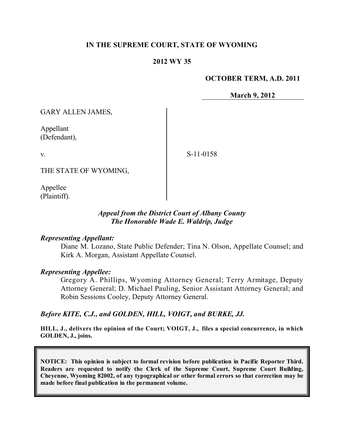### **IN THE SUPREME COURT, STATE OF WYOMING**

### **2012 WY 35**

### **OCTOBER TERM, A.D. 2011**

**March 9, 2012**

GARY ALLEN JAMES,

Appellant (Defendant),

v.

S-11-0158

THE STATE OF WYOMING,

Appellee (Plaintiff).

### *Appeal from the District Court of Albany County The Honorable Wade E. Waldrip, Judge*

### *Representing Appellant:*

Diane M. Lozano, State Public Defender; Tina N. Olson, Appellate Counsel; and Kirk A. Morgan, Assistant Appellate Counsel.

### *Representing Appellee:*

Gregory A. Phillips, Wyoming Attorney General; Terry Armitage, Deputy Attorney General; D. Michael Pauling, Senior Assistant Attorney General; and Robin Sessions Cooley, Deputy Attorney General.

### *Before KITE, C.J., and GOLDEN, HILL, VOIGT, and BURKE, JJ.*

**HILL, J., delivers the opinion of the Court; VOIGT, J., files a special concurrence, in which GOLDEN, J., joins.**

**NOTICE: This opinion is subject to formal revision before publication in Pacific Reporter Third. Readers are requested to notify the Clerk of the Supreme Court, Supreme Court Building, Cheyenne, Wyoming 82002, of any typographical or other formal errors so that correction may be made before final publication in the permanent volume.**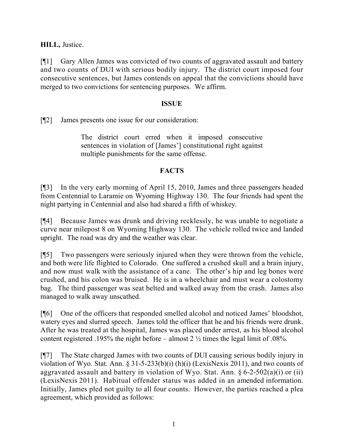**HILL,** Justice.

[¶1] Gary Allen James was convicted of two counts of aggravated assault and battery and two counts of DUI with serious bodily injury. The district court imposed four consecutive sentences, but James contends on appeal that the convictions should have merged to two convictions for sentencing purposes. We affirm.

### **ISSUE**

[¶2] James presents one issue for our consideration:

The district court erred when it imposed consecutive sentences in violation of [James'] constitutional right against multiple punishments for the same offense.

# **FACTS**

[¶3] In the very early morning of April 15, 2010, James and three passengers headed from Centennial to Laramie on Wyoming Highway 130. The four friends had spent the night partying in Centennial and also had shared a fifth of whiskey.

[¶4] Because James was drunk and driving recklessly, he was unable to negotiate a curve near milepost 8 on Wyoming Highway 130. The vehicle rolled twice and landed upright. The road was dry and the weather was clear.

[¶5] Two passengers were seriously injured when they were thrown from the vehicle, and both were life flighted to Colorado. One suffered a crushed skull and a brain injury, and now must walk with the assistance of a cane. The other's hip and leg bones were crushed, and his colon was bruised. He is in a wheelchair and must wear a colostomy bag. The third passenger was seat belted and walked away from the crash. James also managed to walk away unscathed.

[¶6] One of the officers that responded smelled alcohol and noticed James' bloodshot, watery eyes and slurred speech. James told the officer that he and his friends were drunk. After he was treated at the hospital, James was placed under arrest, as his blood alcohol content registered .195% the night before – almost 2 ½ times the legal limit of .08%.

[¶7] The State charged James with two counts of DUI causing serious bodily injury in violation of Wyo. Stat. Ann. § 31-5-233(b)(i) (h)(i) (LexisNexis 2011), and two counts of aggravated assault and battery in violation of Wyo. Stat. Ann.  $\S 6$ -2-502(a)(i) or (ii) (LexisNexis 2011). Habitual offender status was added in an amended information. Initially, James pled not guilty to all four counts. However, the parties reached a plea agreement, which provided as follows: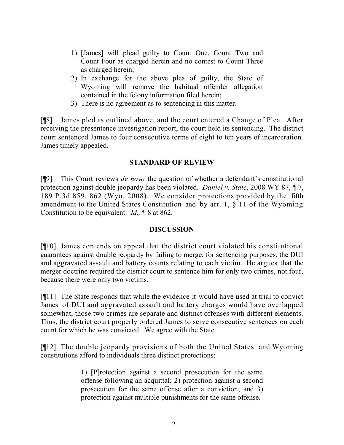- 1) [James] will plead guilty to Count One, Count Two and Count Four as charged herein and no contest to Count Three as charged herein;
- 2) In exchange for the above plea of guilty, the State of Wyoming will remove the habitual offender allegation contained in the felony information filed herein;
- 3) There is no agreement as to sentencing in this matter.

[¶8] James pled as outlined above, and the court entered a Change of Plea. After receiving the presentence investigation report, the court held its sentencing. The district court sentenced James to four consecutive terms of eight to ten years of incarceration. James timely appealed.

### **STANDARD OF REVIEW**

[¶9] This Court reviews *de novo* the question of whether a defendant's constitutional protection against double jeopardy has been violated. *Daniel v. State*, 2008 WY 87, ¶ 7, 189 P.3d 859, 862 (Wyo. 2008). We consider protections provided by the fifth amendment to the United States Constitution and by art. 1, § 11 of the Wyoming Constitution to be equivalent. *Id.,* ¶ 8 at 862.

# **DISCUSSION**

[¶10] James contends on appeal that the district court violated his constitutional guarantees against double jeopardy by failing to merge, for sentencing purposes, the DUI and aggravated assault and battery counts relating to each victim. He argues that the merger doctrine required the district court to sentence him for only two crimes, not four, because there were only two victims.

[¶11] The State responds that while the evidence it would have used at trial to convict James of DUI and aggravated assault and battery charges would have overlapped somewhat, those two crimes are separate and distinct offenses with different elements. Thus, the district court properly ordered James to serve consecutive sentences on each count for which he was convicted. We agree with the State.

[¶12] The double jeopardy provisions of both the United States and Wyoming constitutions afford to individuals three distinct protections:

> 1) [P]rotection against a second prosecution for the same offense following an acquittal; 2) protection against a second prosecution for the same offense after a conviction; and 3) protection against multiple punishments for the same offense.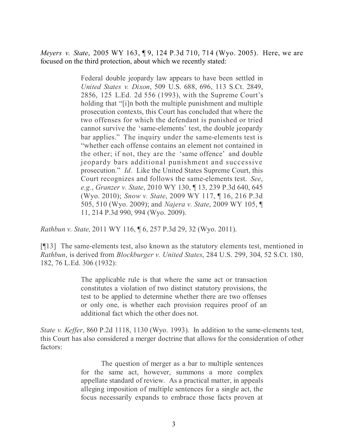*Meyers v. State*, 2005 WY 163, ¶ 9, 124 P.3d 710, 714 (Wyo. 2005). Here, we are focused on the third protection, about which we recently stated:

> Federal double jeopardy law appears to have been settled in *United States v. Dixon*, 509 U.S. 688, 696, 113 S.Ct. 2849, 2856, 125 L.Ed. 2d 556 (1993), with the Supreme Court's holding that "[i]n both the multiple punishment and multiple prosecution contexts, this Court has concluded that where the two offenses for which the defendant is punished or tried cannot survive the 'same-elements' test, the double jeopardy bar applies." The inquiry under the same-elements test is "whether each offense contains an element not contained in the other; if not, they are the 'same offence' and double jeopardy bars additional punishment and successive prosecution." *Id*. Like the United States Supreme Court, this Court recognizes and follows the same-elements test. *See*, *e.g.*, *Granzer v. State*, 2010 WY 130, ¶ 13, 239 P.3d 640, 645 (Wyo. 2010); *Snow v. State*, 2009 WY 117, ¶ 16, 216 P.3d 505, 510 (Wyo. 2009); and *Najera v. State*, 2009 WY 105, ¶ 11, 214 P.3d 990, 994 (Wyo. 2009).

*Rathbun v. State,* 2011 WY 116, ¶ 6, 257 P.3d 29, 32 (Wyo. 2011).

[¶13] The same-elements test, also known as the statutory elements test, mentioned in *Rathbun*, is derived from *Blockburger v. United States*, 284 U.S. 299, 304, 52 S.Ct. 180, 182, 76 L.Ed. 306 (1932):

> The applicable rule is that where the same act or transaction constitutes a violation of two distinct statutory provisions, the test to be applied to determine whether there are two offenses or only one, is whether each provision requires proof of an additional fact which the other does not.

*State v. Keffer*, 860 P.2d 1118, 1130 (Wyo. 1993). In addition to the same-elements test, this Court has also considered a merger doctrine that allows for the consideration of other factors:

> The question of merger as a bar to multiple sentences for the same act, however, summons a more complex appellate standard of review. As a practical matter, in appeals alleging imposition of multiple sentences for a single act, the focus necessarily expands to embrace those facts proven at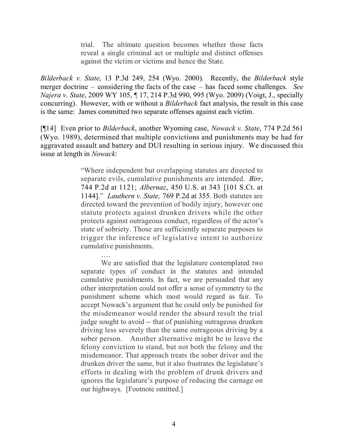trial. The ultimate question becomes whether those facts reveal a single criminal act or multiple and distinct offenses against the victim or victims and hence the State.

*Bilderback v. State*, 13 P.3d 249, 254 (Wyo. 2000). Recently, the *Bilderback* style merger doctrine – considering the facts of the case – has faced some challenges. *See Najera v. State*, 2009 WY 105, ¶ 17, 214 P.3d 990, 995 (Wyo. 2009) (Voigt, J., specially concurring). However, with or without a *Bilderback* fact analysis, the result in this case is the same: James committed two separate offenses against each victim.

[¶14] Even prior to *Bilderback*, another Wyoming case, *Nowack v. State*, 774 P.2d 561 (Wyo. 1989), determined that multiple convictions and punishments may be had for aggravated assault and battery and DUI resulting in serious injury. We discussed this issue at length in *Nowack*:

> "Where independent but overlapping statutes are directed to separate evils, cumulative punishments are intended. *Birr*, 744 P.2d at 1121; *Albernaz*, 450 U.S. at 343 [101 S.Ct. at 1144]." *Lauthern v. State,* 769 P.2d at 355. Both statutes are directed toward the prevention of bodily injury, however one statute protects against drunken drivers while the other protects against outrageous conduct, regardless of the actor's state of sobriety. Those are sufficiently separate purposes to trigger the inference of legislative intent to authorize cumulative punishments.

> > ….

We are satisfied that the legislature contemplated two separate types of conduct in the statutes and intended cumulative punishments. In fact, we are persuaded that any other interpretation could not offer a sense of symmetry to the punishment scheme which most would regard as fair. To accept Nowack's argument that he could only be punished for the misdemeanor would render the absurd result the trial judge sought to avoid -- that of punishing outrageous drunken driving less severely than the same outrageous driving by a sober person. Another alternative might be to leave the felony conviction to stand, but not both the felony and the misdemeanor. That approach treats the sober driver and the drunken driver the same, but it also frustrates the legislature's efforts in dealing with the problem of drunk drivers and ignores the legislature's purpose of reducing the carnage on our highways. [Footnote omitted.]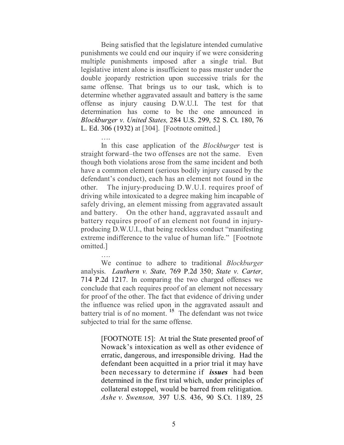Being satisfied that the legislature intended cumulative punishments we could end our inquiry if we were considering multiple punishments imposed after a single trial. But legislative intent alone is insufficient to pass muster under the double jeopardy restriction upon successive trials for the same offense. That brings us to our task, which is to determine whether aggravated assault and battery is the same offense as injury causing D.W.U.I. The test for that determination has come to be the one announced in *Blockburger v. United States,* 284 U.S. 299, 52 S. Ct. 180, 76 L. Ed. 306 (1932) at [304]. [Footnote omitted.]

…. In this case application of the *Blockburger* test is straight forward–the two offenses are not the same. Even though both violations arose from the same incident and both have a common element (serious bodily injury caused by the defendant's conduct), each has an element not found in the other. The injury-producing D.W.U.I. requires proof of driving while intoxicated to a degree making him incapable of safely driving, an element missing from aggravated assault and battery. On the other hand, aggravated assault and battery requires proof of an element not found in injuryproducing D.W.U.I., that being reckless conduct "manifesting extreme indifference to the value of human life." [Footnote omitted.]

We continue to adhere to traditional *Blockburger* analysis. *Lauthern v. State,* 769 P.2d 350; *State v. Carter,* 714 P.2d 1217. In comparing the two charged offenses we conclude that each requires proof of an element not necessary for proof of the other. The fact that evidence of driving under the influence was relied upon in the aggravated assault and battery trial is of no moment. **15** The defendant was not twice subjected to trial for the same offense.

….

[FOOTNOTE 15]: At trial the State presented proof of Nowack's intoxication as well as other evidence of erratic, dangerous, and irresponsible driving. Had the defendant been acquitted in a prior trial it may have been necessary to determine if *issues* had been determined in the first trial which, under principles of collateral estoppel, would be barred from relitigation. *Ashe v. Swenson,* 397 U.S. 436, 90 S.Ct. 1189, 25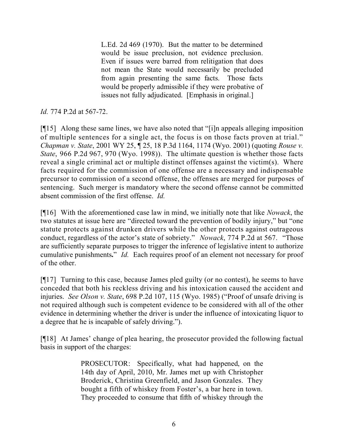L.Ed. 2d 469 (1970). But the matter to be determined would be issue preclusion, not evidence preclusion. Even if issues were barred from relitigation that does not mean the State would necessarily be precluded from again presenting the same facts. Those facts would be properly admissible if they were probative of issues not fully adjudicated. [Emphasis in original.]

# *Id.* 774 P.2d at 567-72.

[¶15] Along these same lines, we have also noted that "[i]n appeals alleging imposition of multiple sentences for a single act, the focus is on those facts proven at trial." *Chapman v. State*, 2001 WY 25, ¶ 25, 18 P.3d 1164, 1174 (Wyo. 2001) (quoting *Rouse v. State*, 966 P.2d 967, 970 (Wyo. 1998)). The ultimate question is whether those facts reveal a single criminal act or multiple distinct offenses against the victim(s). Where facts required for the commission of one offense are a necessary and indispensable precursor to commission of a second offense, the offenses are merged for purposes of sentencing. Such merger is mandatory where the second offense cannot be committed absent commission of the first offense. *Id.*

[¶16] With the aforementioned case law in mind, we initially note that like *Nowack*, the two statutes at issue here are "directed toward the prevention of bodily injury," but "one statute protects against drunken drivers while the other protects against outrageous conduct, regardless of the actor's state of sobriety." *Nowack*, 774 P.2d at 567. "Those are sufficiently separate purposes to trigger the inference of legislative intent to authorize cumulative punishments**.**" *Id.* Each requires proof of an element not necessary for proof of the other.

[¶17] Turning to this case, because James pled guilty (or no contest), he seems to have conceded that both his reckless driving and his intoxication caused the accident and injuries. *See Olson v. State*, 698 P.2d 107, 115 (Wyo. 1985) ("Proof of unsafe driving is not required although such is competent evidence to be considered with all of the other evidence in determining whether the driver is under the influence of intoxicating liquor to a degree that he is incapable of safely driving.").

[¶18] At James' change of plea hearing, the prosecutor provided the following factual basis in support of the charges:

> PROSECUTOR: Specifically, what had happened, on the 14th day of April, 2010, Mr. James met up with Christopher Broderick, Christina Greenfield, and Jason Gonzales. They bought a fifth of whiskey from Foster's, a bar here in town. They proceeded to consume that fifth of whiskey through the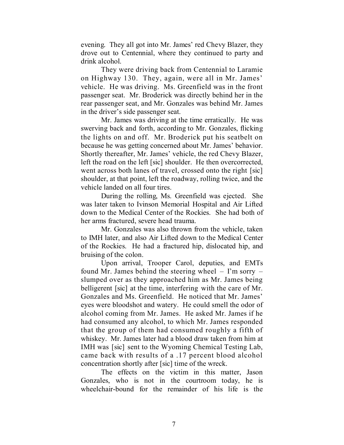evening. They all got into Mr. James' red Chevy Blazer, they drove out to Centennial, where they continued to party and drink alcohol.

They were driving back from Centennial to Laramie on Highway 130. They, again, were all in Mr. James' vehicle. He was driving. Ms. Greenfield was in the front passenger seat. Mr. Broderick was directly behind her in the rear passenger seat, and Mr. Gonzales was behind Mr. James in the driver's side passenger seat.

Mr. James was driving at the time erratically. He was swerving back and forth, according to Mr. Gonzales, flicking the lights on and off. Mr. Broderick put his seatbelt on because he was getting concerned about Mr. James' behavior. Shortly thereafter, Mr. James' vehicle, the red Chevy Blazer, left the road on the left [sic] shoulder. He then overcorrected, went across both lanes of travel, crossed onto the right [sic] shoulder, at that point, left the roadway, rolling twice, and the vehicle landed on all four tires.

During the rolling, Ms. Greenfield was ejected. She was later taken to Ivinson Memorial Hospital and Air Lifted down to the Medical Center of the Rockies. She had both of her arms fractured, severe head trauma.

Mr. Gonzales was also thrown from the vehicle, taken to IMH later, and also Air Lifted down to the Medical Center of the Rockies. He had a fractured hip, dislocated hip, and bruising of the colon.

Upon arrival, Trooper Carol, deputies, and EMTs found Mr. James behind the steering wheel – I'm sorry – slumped over as they approached him as Mr. James being belligerent [sic] at the time, interfering with the care of Mr. Gonzales and Ms. Greenfield. He noticed that Mr. James' eyes were bloodshot and watery. He could smell the odor of alcohol coming from Mr. James. He asked Mr. James if he had consumed any alcohol, to which Mr. James responded that the group of them had consumed roughly a fifth of whiskey. Mr. James later had a blood draw taken from him at IMH was [sic] sent to the Wyoming Chemical Testing Lab, came back with results of a .17 percent blood alcohol concentration shortly after [sic] time of the wreck.

The effects on the victim in this matter, Jason Gonzales, who is not in the courtroom today, he is wheelchair-bound for the remainder of his life is the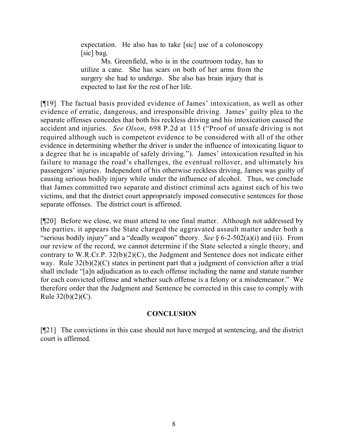expectation. He also has to take [sic] use of a colonoscopy [sic] bag.

Ms. Greenfield, who is in the courtroom today, has to utilize a cane. She has scars on both of her arms from the surgery she had to undergo. She also has brain injury that is expected to last for the rest of her life.

[¶19] The factual basis provided evidence of James' intoxication, as well as other evidence of erratic, dangerous, and irresponsible driving. James' guilty plea to the separate offenses concedes that both his reckless driving and his intoxication caused the accident and injuries. *See Olson*, 698 P.2d at 115 ("Proof of unsafe driving is not required although such is competent evidence to be considered with all of the other evidence in determining whether the driver is under the influence of intoxicating liquor to a degree that he is incapable of safely driving."). James' intoxication resulted in his failure to manage the road's challenges, the eventual rollover, and ultimately his passengers' injuries. Independent of his otherwise reckless driving, James was guilty of causing serious bodily injury while under the influence of alcohol. Thus, we conclude that James committed two separate and distinct criminal acts against each of his two victims, and that the district court appropriately imposed consecutive sentences for those separate offenses. The district court is affirmed.

[¶20] Before we close, we must attend to one final matter. Although not addressed by the parties, it appears the State charged the aggravated assault matter under both a "serious bodily injury" and a "deadly weapon" theory. *See* § 6-2-502(a)(i) and (ii). From our review of the record, we cannot determine if the State selected a single theory, and contrary to W.R.Cr.P. 32(b)(2)(C), the Judgment and Sentence does not indicate either way. Rule  $32(b)(2)(C)$  states in pertinent part that a judgment of conviction after a trial shall include "[a]n adjudication as to each offense including the name and statute number for each convicted offense and whether such offense is a felony or a misdemeanor." We therefore order that the Judgment and Sentence be corrected in this case to comply with Rule  $32(b)(2)(C)$ .

# **CONCLUSION**

[¶21] The convictions in this case should not have merged at sentencing, and the district court is affirmed.